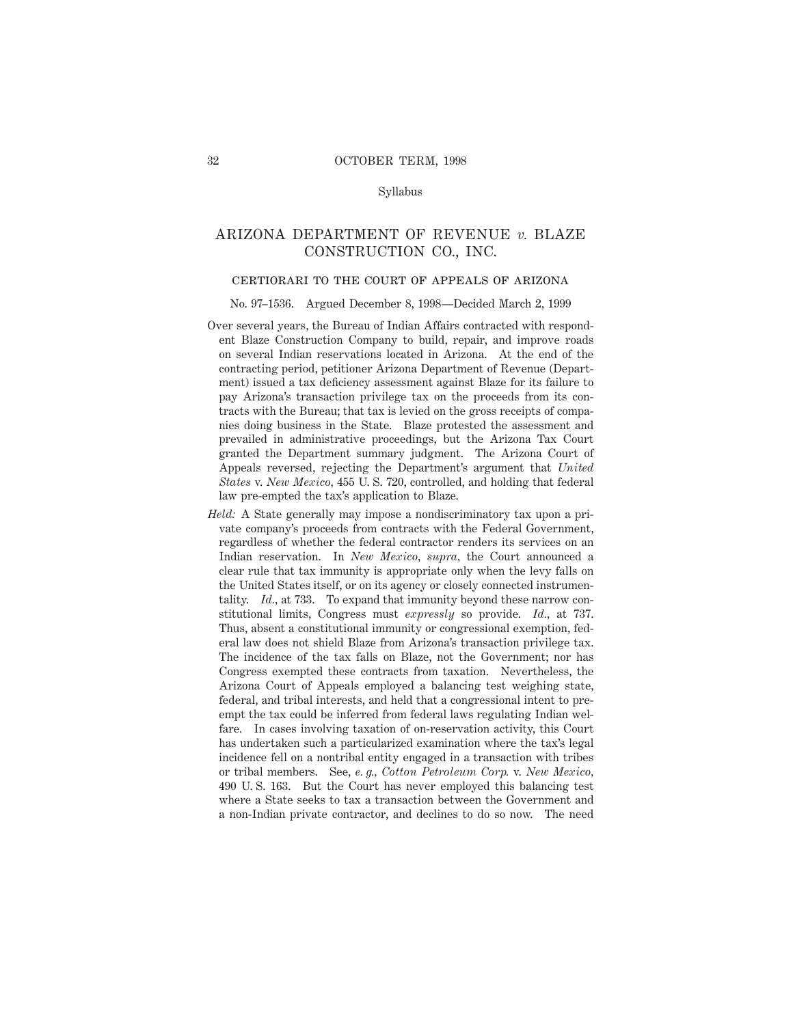### Syllabus

## ARIZONA DEPARTMENT OF REVENUE *v.* BLAZE CONSTRUCTION CO., INC.

### certiorari to the court of appeals of arizona

#### No. 97–1536. Argued December 8, 1998—Decided March 2, 1999

- Over several years, the Bureau of Indian Affairs contracted with respondent Blaze Construction Company to build, repair, and improve roads on several Indian reservations located in Arizona. At the end of the contracting period, petitioner Arizona Department of Revenue (Department) issued a tax deficiency assessment against Blaze for its failure to pay Arizona's transaction privilege tax on the proceeds from its contracts with the Bureau; that tax is levied on the gross receipts of companies doing business in the State. Blaze protested the assessment and prevailed in administrative proceedings, but the Arizona Tax Court granted the Department summary judgment. The Arizona Court of Appeals reversed, rejecting the Department's argument that *United States* v. *New Mexico,* 455 U. S. 720, controlled, and holding that federal law pre-empted the tax's application to Blaze.
- *Held:* A State generally may impose a nondiscriminatory tax upon a private company's proceeds from contracts with the Federal Government, regardless of whether the federal contractor renders its services on an Indian reservation. In *New Mexico, supra,* the Court announced a clear rule that tax immunity is appropriate only when the levy falls on the United States itself, or on its agency or closely connected instrumentality. *Id.,* at 733. To expand that immunity beyond these narrow constitutional limits, Congress must *expressly* so provide. *Id.,* at 737. Thus, absent a constitutional immunity or congressional exemption, federal law does not shield Blaze from Arizona's transaction privilege tax. The incidence of the tax falls on Blaze, not the Government; nor has Congress exempted these contracts from taxation. Nevertheless, the Arizona Court of Appeals employed a balancing test weighing state, federal, and tribal interests, and held that a congressional intent to preempt the tax could be inferred from federal laws regulating Indian welfare. In cases involving taxation of on-reservation activity, this Court has undertaken such a particularized examination where the tax's legal incidence fell on a nontribal entity engaged in a transaction with tribes or tribal members. See, *e. g., Cotton Petroleum Corp.* v. *New Mexico,* 490 U. S. 163. But the Court has never employed this balancing test where a State seeks to tax a transaction between the Government and a non-Indian private contractor, and declines to do so now. The need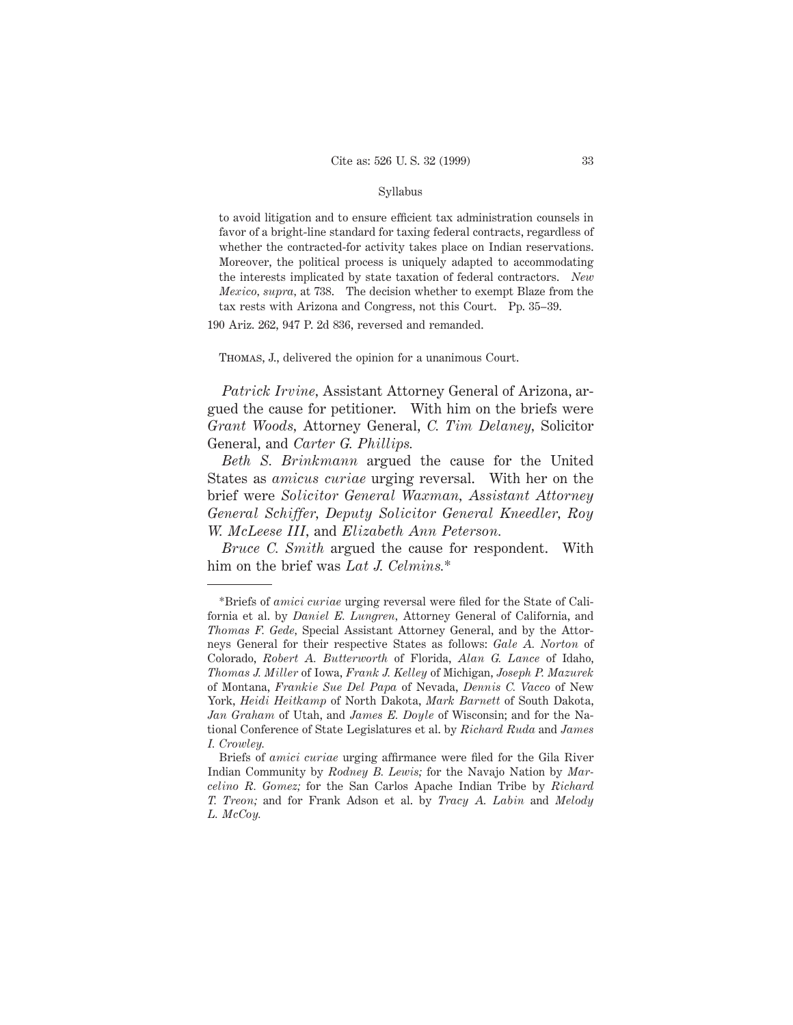### Syllabus

to avoid litigation and to ensure efficient tax administration counsels in favor of a bright-line standard for taxing federal contracts, regardless of whether the contracted-for activity takes place on Indian reservations. Moreover, the political process is uniquely adapted to accommodating the interests implicated by state taxation of federal contractors. *New Mexico, supra,* at 738. The decision whether to exempt Blaze from the tax rests with Arizona and Congress, not this Court. Pp. 35–39.

190 Ariz. 262, 947 P. 2d 836, reversed and remanded.

Thomas, J., delivered the opinion for a unanimous Court.

*Patrick Irvine,* Assistant Attorney General of Arizona, argued the cause for petitioner. With him on the briefs were *Grant Woods,* Attorney General, *C. Tim Delaney,* Solicitor General, and *Carter G. Phillips.*

*Beth S. Brinkmann* argued the cause for the United States as *amicus curiae* urging reversal. With her on the brief were *Solicitor General Waxman, Assistant Attorney General Schiffer, Deputy Solicitor General Kneedler, Roy W. McLeese III,* and *Elizabeth Ann Peterson.*

*Bruce C. Smith* argued the cause for respondent. With him on the brief was *Lat J. Celmins.*\*

<sup>\*</sup>Briefs of *amici curiae* urging reversal were filed for the State of California et al. by *Daniel E. Lungren,* Attorney General of California, and *Thomas F. Gede,* Special Assistant Attorney General, and by the Attorneys General for their respective States as follows: *Gale A. Norton* of Colorado, *Robert A. Butterworth* of Florida, *Alan G. Lance* of Idaho, *Thomas J. Miller* of Iowa, *Frank J. Kelley* of Michigan, *Joseph P. Mazurek* of Montana, *Frankie Sue Del Papa* of Nevada, *Dennis C. Vacco* of New York, *Heidi Heitkamp* of North Dakota, *Mark Barnett* of South Dakota, *Jan Graham* of Utah, and *James E. Doyle* of Wisconsin; and for the National Conference of State Legislatures et al. by *Richard Ruda* and *James I. Crowley.*

Briefs of *amici curiae* urging affirmance were filed for the Gila River Indian Community by *Rodney B. Lewis;* for the Navajo Nation by *Marcelino R. Gomez;* for the San Carlos Apache Indian Tribe by *Richard T. Treon;* and for Frank Adson et al. by *Tracy A. Labin* and *Melody L. McCoy.*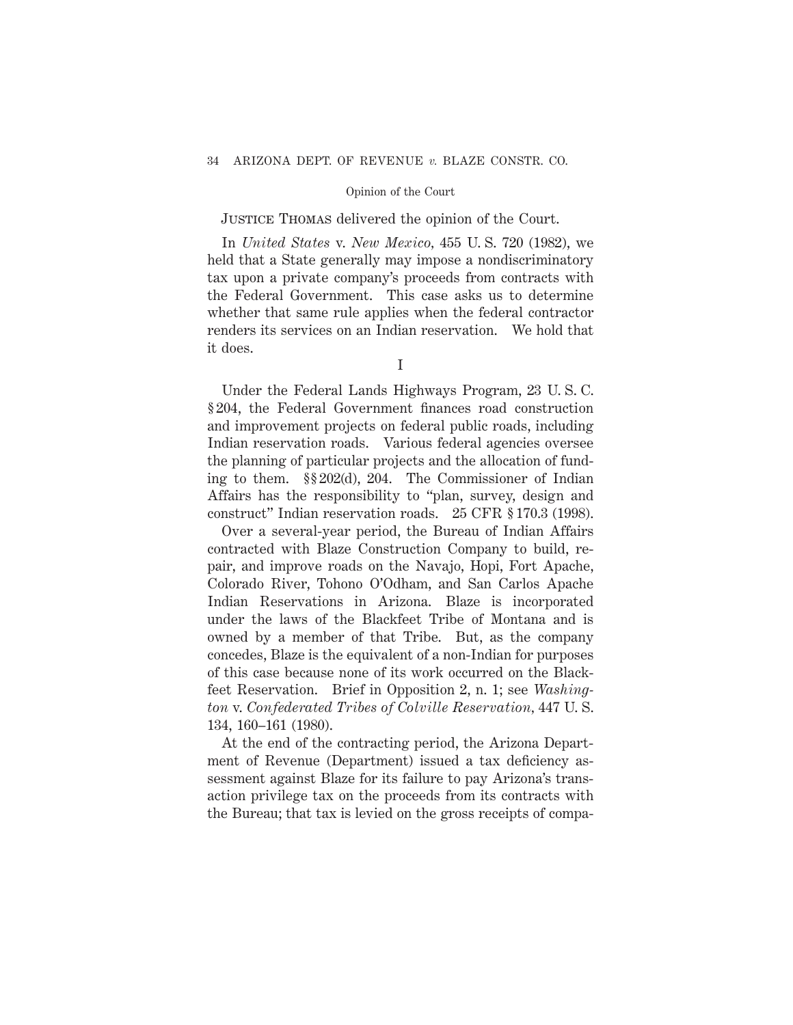# Justice Thomas delivered the opinion of the Court.

In *United States* v. *New Mexico,* 455 U. S. 720 (1982), we held that a State generally may impose a nondiscriminatory tax upon a private company's proceeds from contracts with the Federal Government. This case asks us to determine whether that same rule applies when the federal contractor renders its services on an Indian reservation. We hold that it does.

Under the Federal Lands Highways Program, 23 U. S. C. § 204, the Federal Government finances road construction and improvement projects on federal public roads, including Indian reservation roads. Various federal agencies oversee the planning of particular projects and the allocation of funding to them. §§ 202(d), 204. The Commissioner of Indian Affairs has the responsibility to "plan, survey, design and construct" Indian reservation roads. 25 CFR § 170.3 (1998).

Over a several-year period, the Bureau of Indian Affairs contracted with Blaze Construction Company to build, repair, and improve roads on the Navajo, Hopi, Fort Apache, Colorado River, Tohono O'Odham, and San Carlos Apache Indian Reservations in Arizona. Blaze is incorporated under the laws of the Blackfeet Tribe of Montana and is owned by a member of that Tribe. But, as the company concedes, Blaze is the equivalent of a non-Indian for purposes of this case because none of its work occurred on the Blackfeet Reservation. Brief in Opposition 2, n. 1; see *Washington* v. *Confederated Tribes of Colville Reservation,* 447 U. S. 134, 160–161 (1980).

At the end of the contracting period, the Arizona Department of Revenue (Department) issued a tax deficiency assessment against Blaze for its failure to pay Arizona's transaction privilege tax on the proceeds from its contracts with the Bureau; that tax is levied on the gross receipts of compa-

I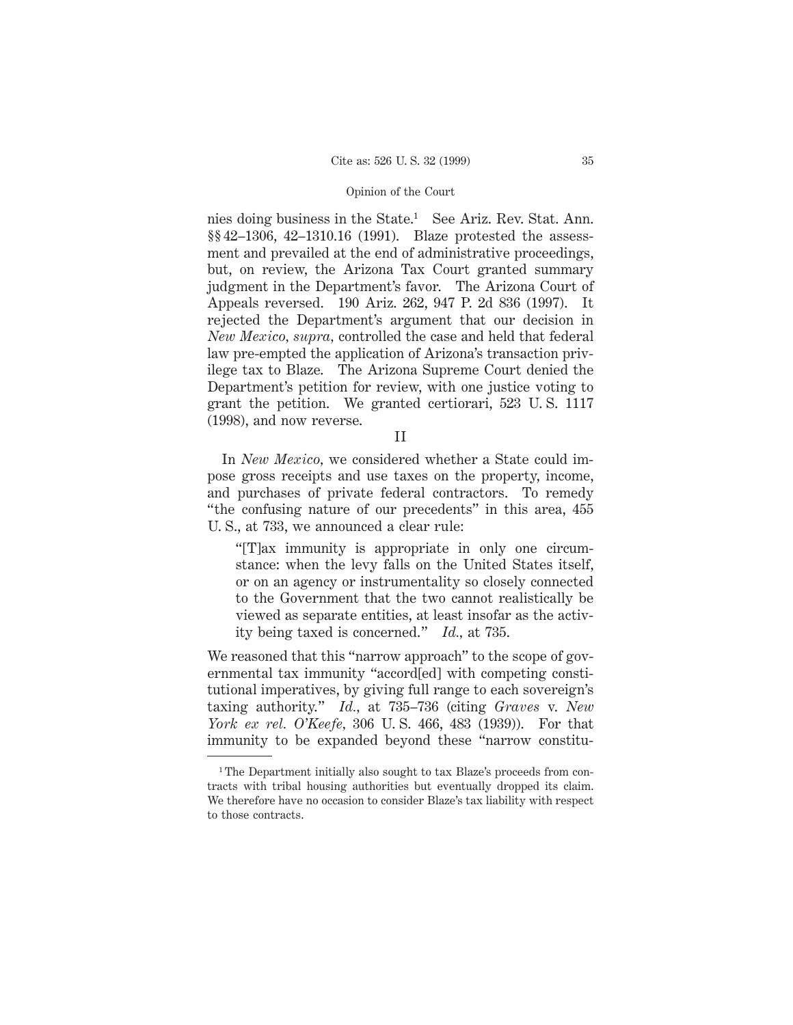nies doing business in the State.<sup>1</sup> See Ariz. Rev. Stat. Ann. §§ 42–1306, 42–1310.16 (1991). Blaze protested the assessment and prevailed at the end of administrative proceedings, but, on review, the Arizona Tax Court granted summary judgment in the Department's favor. The Arizona Court of Appeals reversed. 190 Ariz. 262, 947 P. 2d 836 (1997). It rejected the Department's argument that our decision in *New Mexico, supra,* controlled the case and held that federal law pre-empted the application of Arizona's transaction privilege tax to Blaze. The Arizona Supreme Court denied the Department's petition for review, with one justice voting to grant the petition. We granted certiorari, 523 U. S. 1117 (1998), and now reverse.

II

In *New Mexico,* we considered whether a State could impose gross receipts and use taxes on the property, income, and purchases of private federal contractors. To remedy "the confusing nature of our precedents" in this area, 455 U. S., at 733, we announced a clear rule:

"[T]ax immunity is appropriate in only one circumstance: when the levy falls on the United States itself, or on an agency or instrumentality so closely connected to the Government that the two cannot realistically be viewed as separate entities, at least insofar as the activity being taxed is concerned." *Id.,* at 735.

We reasoned that this "narrow approach" to the scope of governmental tax immunity "accord[ed] with competing constitutional imperatives, by giving full range to each sovereign's taxing authority." *Id.,* at 735–736 (citing *Graves* v. *New York ex rel. O'Keefe,* 306 U. S. 466, 483 (1939)). For that immunity to be expanded beyond these "narrow constitu-

<sup>&</sup>lt;sup>1</sup>The Department initially also sought to tax Blaze's proceeds from contracts with tribal housing authorities but eventually dropped its claim. We therefore have no occasion to consider Blaze's tax liability with respect to those contracts.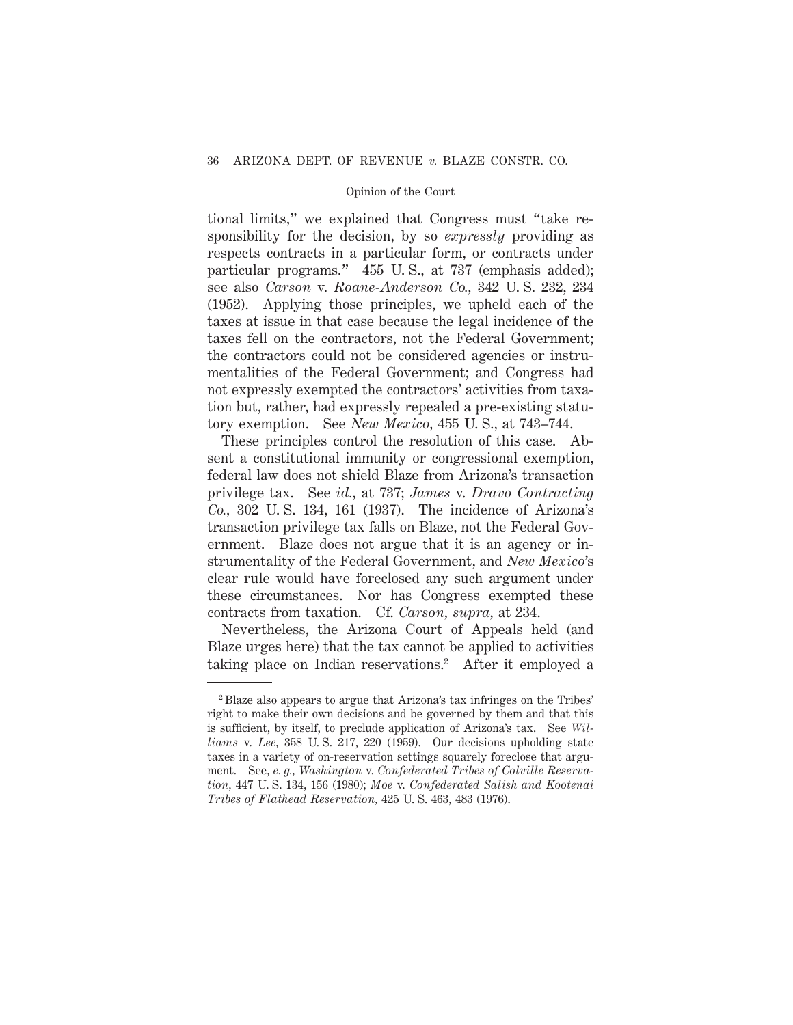tional limits," we explained that Congress must "take responsibility for the decision, by so *expressly* providing as respects contracts in a particular form, or contracts under particular programs." 455 U. S., at 737 (emphasis added); see also *Carson* v. *Roane-Anderson Co.,* 342 U. S. 232, 234 (1952). Applying those principles, we upheld each of the taxes at issue in that case because the legal incidence of the taxes fell on the contractors, not the Federal Government; the contractors could not be considered agencies or instrumentalities of the Federal Government; and Congress had not expressly exempted the contractors' activities from taxation but, rather, had expressly repealed a pre-existing statutory exemption. See *New Mexico,* 455 U. S., at 743–744.

These principles control the resolution of this case. Absent a constitutional immunity or congressional exemption, federal law does not shield Blaze from Arizona's transaction privilege tax. See *id.,* at 737; *James* v. *Dravo Contracting Co.,* 302 U. S. 134, 161 (1937). The incidence of Arizona's transaction privilege tax falls on Blaze, not the Federal Government. Blaze does not argue that it is an agency or instrumentality of the Federal Government, and *New Mexico*'s clear rule would have foreclosed any such argument under these circumstances. Nor has Congress exempted these contracts from taxation. Cf. *Carson, supra,* at 234.

Nevertheless, the Arizona Court of Appeals held (and Blaze urges here) that the tax cannot be applied to activities taking place on Indian reservations.<sup>2</sup> After it employed a

<sup>2</sup> Blaze also appears to argue that Arizona's tax infringes on the Tribes' right to make their own decisions and be governed by them and that this is sufficient, by itself, to preclude application of Arizona's tax. See *Williams* v. *Lee,* 358 U. S. 217, 220 (1959). Our decisions upholding state taxes in a variety of on-reservation settings squarely foreclose that argument. See, *e. g., Washington* v. *Confederated Tribes of Colville Reservation,* 447 U. S. 134, 156 (1980); *Moe* v. *Confederated Salish and Kootenai Tribes of Flathead Reservation,* 425 U. S. 463, 483 (1976).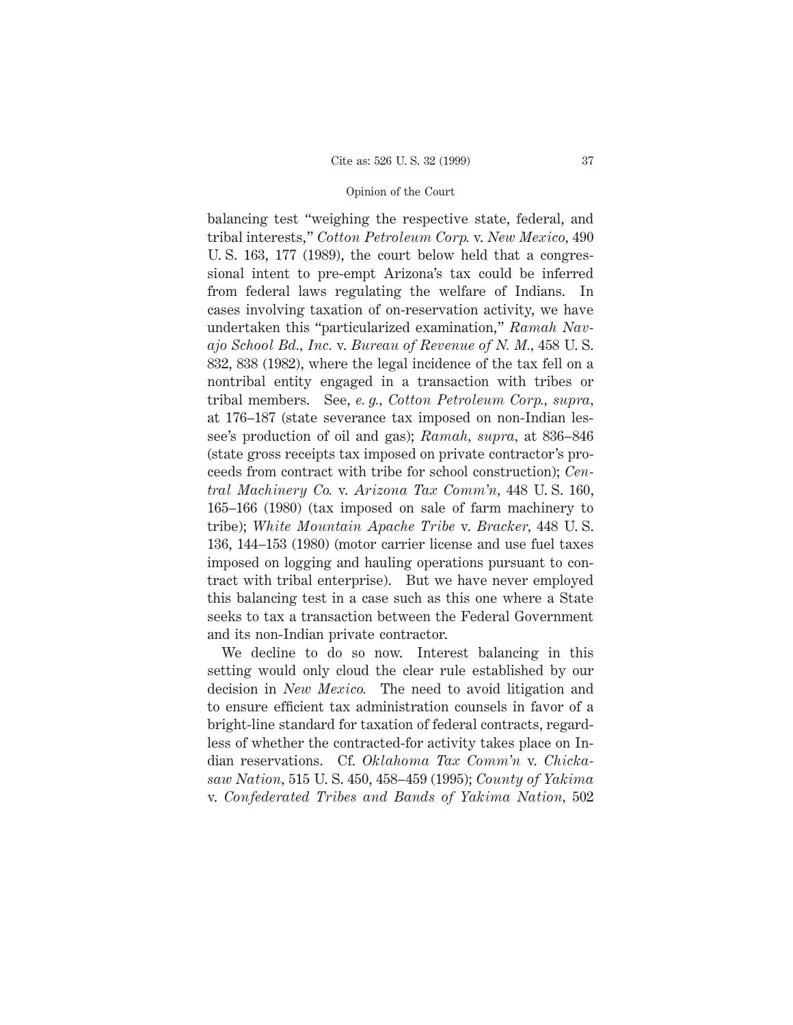balancing test "weighing the respective state, federal, and tribal interests," *Cotton Petroleum Corp.* v. *New Mexico,* 490 U. S. 163, 177 (1989), the court below held that a congressional intent to pre-empt Arizona's tax could be inferred from federal laws regulating the welfare of Indians. In cases involving taxation of on-reservation activity, we have undertaken this "particularized examination," *Ramah Navajo School Bd., Inc.* v. *Bureau of Revenue of N. M.,* 458 U. S. 832, 838 (1982), where the legal incidence of the tax fell on a nontribal entity engaged in a transaction with tribes or tribal members. See, *e. g., Cotton Petroleum Corp., supra,* at 176–187 (state severance tax imposed on non-Indian lessee's production of oil and gas); *Ramah, supra,* at 836–846 (state gross receipts tax imposed on private contractor's proceeds from contract with tribe for school construction); *Central Machinery Co.* v. *Arizona Tax Comm'n,* 448 U. S. 160, 165–166 (1980) (tax imposed on sale of farm machinery to tribe); *White Mountain Apache Tribe* v. *Bracker,* 448 U. S. 136, 144–153 (1980) (motor carrier license and use fuel taxes imposed on logging and hauling operations pursuant to contract with tribal enterprise). But we have never employed this balancing test in a case such as this one where a State seeks to tax a transaction between the Federal Government and its non-Indian private contractor.

We decline to do so now. Interest balancing in this setting would only cloud the clear rule established by our decision in *New Mexico.* The need to avoid litigation and to ensure efficient tax administration counsels in favor of a bright-line standard for taxation of federal contracts, regardless of whether the contracted-for activity takes place on Indian reservations. Cf. *Oklahoma Tax Comm'n* v. *Chickasaw Nation,* 515 U. S. 450, 458–459 (1995); *County of Yakima* v. *Confederated Tribes and Bands of Yakima Nation,* 502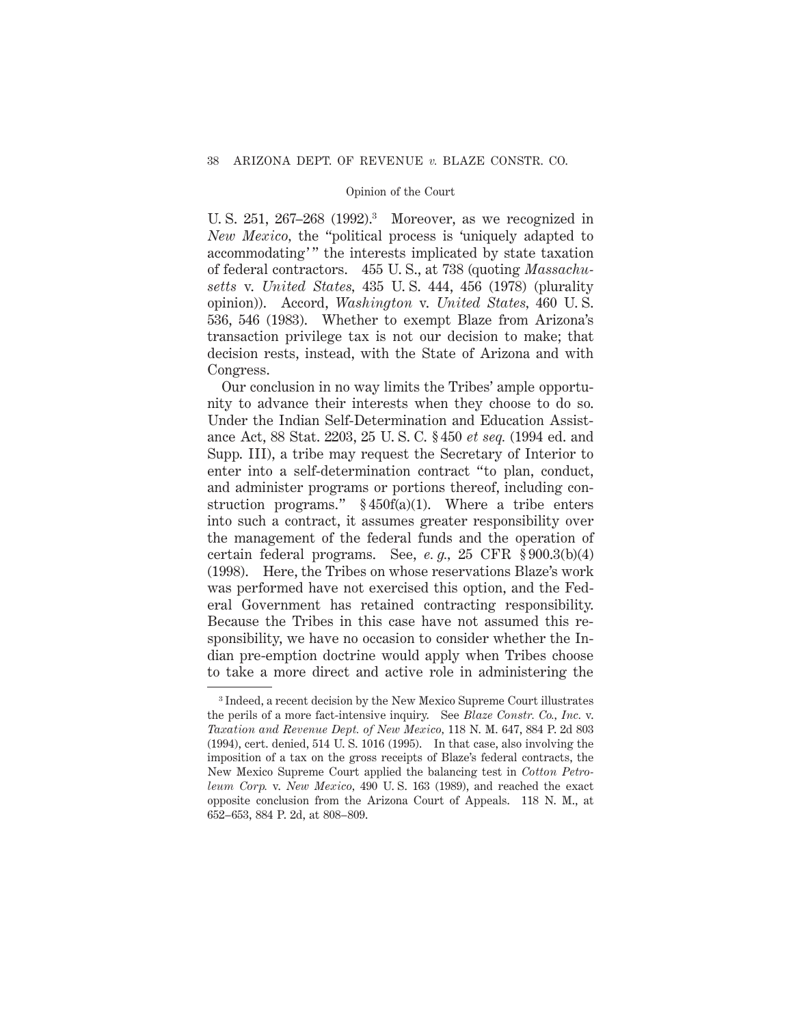U. S. 251, 267–268 (1992).<sup>3</sup> Moreover, as we recognized in *New Mexico,* the "political process is 'uniquely adapted to accommodating'" the interests implicated by state taxation of federal contractors. 455 U. S., at 738 (quoting *Massachusetts* v. *United States,* 435 U. S. 444, 456 (1978) (plurality opinion)). Accord, *Washington* v. *United States,* 460 U. S. 536, 546 (1983). Whether to exempt Blaze from Arizona's transaction privilege tax is not our decision to make; that decision rests, instead, with the State of Arizona and with Congress.

Our conclusion in no way limits the Tribes' ample opportunity to advance their interests when they choose to do so. Under the Indian Self-Determination and Education Assistance Act, 88 Stat. 2203, 25 U. S. C. § 450 *et seq.* (1994 ed. and Supp. III), a tribe may request the Secretary of Interior to enter into a self-determination contract "to plan, conduct, and administer programs or portions thereof, including construction programs." § 450f(a)(1). Where a tribe enters into such a contract, it assumes greater responsibility over the management of the federal funds and the operation of certain federal programs. See, *e. g.,* 25 CFR § 900.3(b)(4) (1998). Here, the Tribes on whose reservations Blaze's work was performed have not exercised this option, and the Federal Government has retained contracting responsibility. Because the Tribes in this case have not assumed this responsibility, we have no occasion to consider whether the Indian pre-emption doctrine would apply when Tribes choose to take a more direct and active role in administering the

<sup>3</sup> Indeed, a recent decision by the New Mexico Supreme Court illustrates the perils of a more fact-intensive inquiry. See *Blaze Constr. Co., Inc.* v. *Taxation and Revenue Dept. of New Mexico,* 118 N. M. 647, 884 P. 2d 803 (1994), cert. denied, 514 U. S. 1016 (1995). In that case, also involving the imposition of a tax on the gross receipts of Blaze's federal contracts, the New Mexico Supreme Court applied the balancing test in *Cotton Petroleum Corp.* v. *New Mexico,* 490 U. S. 163 (1989), and reached the exact opposite conclusion from the Arizona Court of Appeals. 118 N. M., at 652–653, 884 P. 2d, at 808–809.